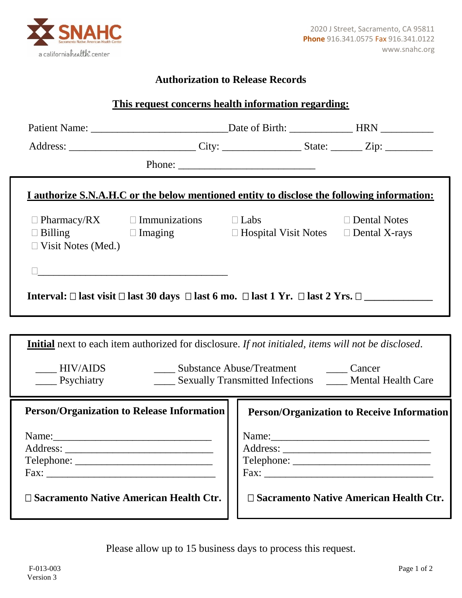

## **Authorization to Release Records**

| This request concerns health information regarding:                                                                           |                                                                                                                                                                                                                                                                                                                                                                                                                                                   |  |  |
|-------------------------------------------------------------------------------------------------------------------------------|---------------------------------------------------------------------------------------------------------------------------------------------------------------------------------------------------------------------------------------------------------------------------------------------------------------------------------------------------------------------------------------------------------------------------------------------------|--|--|
|                                                                                                                               |                                                                                                                                                                                                                                                                                                                                                                                                                                                   |  |  |
|                                                                                                                               | Address: ______________________________City: _______________________State: __________Zip: _______________                                                                                                                                                                                                                                                                                                                                         |  |  |
|                                                                                                                               | Phone: $\frac{1}{\sqrt{1-\frac{1}{2}} \cdot \frac{1}{2} \cdot \frac{1}{2} \cdot \frac{1}{2} \cdot \frac{1}{2} \cdot \frac{1}{2} \cdot \frac{1}{2} \cdot \frac{1}{2} \cdot \frac{1}{2} \cdot \frac{1}{2} \cdot \frac{1}{2} \cdot \frac{1}{2} \cdot \frac{1}{2} \cdot \frac{1}{2} \cdot \frac{1}{2} \cdot \frac{1}{2} \cdot \frac{1}{2} \cdot \frac{1}{2} \cdot \frac{1}{2} \cdot \frac{1}{2} \cdot \frac{1}{2} \cdot \frac{1}{2} \cdot \frac{1}{2$ |  |  |
| <u>I authorize S.N.A.H.C or the below mentioned entity to disclose the following information:</u>                             |                                                                                                                                                                                                                                                                                                                                                                                                                                                   |  |  |
| $\Box$ Pharmacy/RX $\Box$ Immunizations $\Box$ Labs<br>$\Box$ Billing<br>$\Box$ Visit Notes (Med.)                            | $\Box$ Dental Notes<br>$\Box$ Imaging $\Box$ Hospital Visit Notes $\Box$ Dental X-rays                                                                                                                                                                                                                                                                                                                                                            |  |  |
|                                                                                                                               |                                                                                                                                                                                                                                                                                                                                                                                                                                                   |  |  |
| Interval: $\Box$ last visit $\Box$ last 30 days $\Box$ last 6 mo. $\Box$ last 1 Yr. $\Box$ last 2 Yrs. $\Box$                 |                                                                                                                                                                                                                                                                                                                                                                                                                                                   |  |  |
|                                                                                                                               |                                                                                                                                                                                                                                                                                                                                                                                                                                                   |  |  |
| <b>Initial</b> next to each item authorized for disclosure. If not initialed, items will not be disclosed.                    |                                                                                                                                                                                                                                                                                                                                                                                                                                                   |  |  |
| HIV/AIDS<br>$\frac{1}{2}$ Psychiatry                                                                                          | Substance Abuse/Treatment Cancer<br>_____ Sexually Transmitted Infections _____ Mental Health Care                                                                                                                                                                                                                                                                                                                                                |  |  |
| <b>Person/Organization to Release Information</b>                                                                             | <b>Person/Organization to Receive Information</b>                                                                                                                                                                                                                                                                                                                                                                                                 |  |  |
| Name:<br><u> 2001 - Jan James James Barnett, fizik eta idazleari zuen 1980an zituen zituen zuen zuen zuen zuen zuen zuen </u> | Name:                                                                                                                                                                                                                                                                                                                                                                                                                                             |  |  |
| $\square$ Sacramento Native American Health Ctr.                                                                              | $\square$ Sacramento Native American Health Ctr.                                                                                                                                                                                                                                                                                                                                                                                                  |  |  |

Please allow up to 15 business days to process this request.